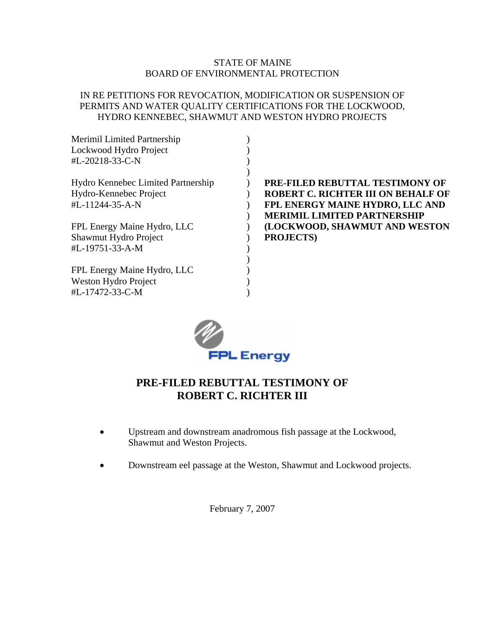### STATE OF MAINE BOARD OF ENVIRONMENTAL PROTECTION

### IN RE PETITIONS FOR REVOCATION, MODIFICATION OR SUSPENSION OF PERMITS AND WATER QUALITY CERTIFICATIONS FOR THE LOCKWOOD, HYDRO KENNEBEC, SHAWMUT AND WESTON HYDRO PROJECTS

| <b>Merimil Limited Partnership</b> |                                           |
|------------------------------------|-------------------------------------------|
| Lockwood Hydro Project             |                                           |
| #L-20218-33-C-N                    |                                           |
|                                    |                                           |
| Hydro Kennebec Limited Partnership | <b>PRE-FILED REBUTTAL TESTIMONY OF</b>    |
| Hydro-Kennebec Project             | <b>ROBERT C. RICHTER III ON BEHALF OF</b> |
| #L-11244-35-A-N                    | FPL ENERGY MAINE HYDRO, LLC AND           |
|                                    | <b>MERIMIL LIMITED PARTNERSHIP</b>        |
| FPL Energy Maine Hydro, LLC        | (LOCKWOOD, SHAWMUT AND WESTON             |
| Shawmut Hydro Project              | <b>PROJECTS</b> )                         |
| #L-19751-33-A-M                    |                                           |
|                                    |                                           |
| FPL Energy Maine Hydro, LLC        |                                           |
| Weston Hydro Project               |                                           |
| #L-17472-33-C-M                    |                                           |
|                                    |                                           |



## **PRE-FILED REBUTTAL TESTIMONY OF ROBERT C. RICHTER III**

- Upstream and downstream anadromous fish passage at the Lockwood, Shawmut and Weston Projects.
- Downstream eel passage at the Weston, Shawmut and Lockwood projects.

February 7, 2007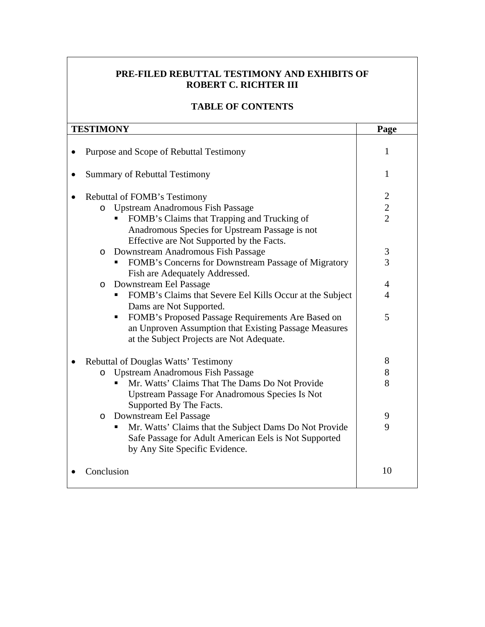### **PRE-FILED REBUTTAL TESTIMONY AND EXHIBITS OF ROBERT C. RICHTER III**

### **TABLE OF CONTENTS**

| <b>TESTIMONY</b> |                                                                                                                                                              | Page           |
|------------------|--------------------------------------------------------------------------------------------------------------------------------------------------------------|----------------|
|                  | Purpose and Scope of Rebuttal Testimony                                                                                                                      | 1              |
|                  | <b>Summary of Rebuttal Testimony</b>                                                                                                                         |                |
|                  | <b>Rebuttal of FOMB's Testimony</b>                                                                                                                          | $\overline{c}$ |
|                  | <b>Upstream Anadromous Fish Passage</b><br>$\circ$                                                                                                           | $\overline{c}$ |
|                  | FOMB's Claims that Trapping and Trucking of<br>Anadromous Species for Upstream Passage is not<br>Effective are Not Supported by the Facts.                   | $\overline{2}$ |
|                  | o Downstream Anadromous Fish Passage                                                                                                                         | 3              |
|                  | FOMB's Concerns for Downstream Passage of Migratory<br>Fish are Adequately Addressed.                                                                        | 3              |
|                  | Downstream Eel Passage<br>$\circ$                                                                                                                            | 4              |
|                  | FOMB's Claims that Severe Eel Kills Occur at the Subject<br>п.<br>Dams are Not Supported.                                                                    | $\overline{4}$ |
|                  | FOMB's Proposed Passage Requirements Are Based on<br>٠<br>an Unproven Assumption that Existing Passage Measures<br>at the Subject Projects are Not Adequate. | 5              |
|                  | Rebuttal of Douglas Watts' Testimony                                                                                                                         |                |
|                  | <b>Upstream Anadromous Fish Passage</b><br>$\circ$                                                                                                           | 8              |
|                  | Mr. Watts' Claims That The Dams Do Not Provide<br><b>Upstream Passage For Anadromous Species Is Not</b><br>Supported By The Facts.                           | 8              |
|                  | o Downstream Eel Passage                                                                                                                                     | 9              |
|                  | Mr. Watts' Claims that the Subject Dams Do Not Provide<br>Safe Passage for Adult American Eels is Not Supported<br>by Any Site Specific Evidence.            | 9              |
|                  | Conclusion                                                                                                                                                   | 10             |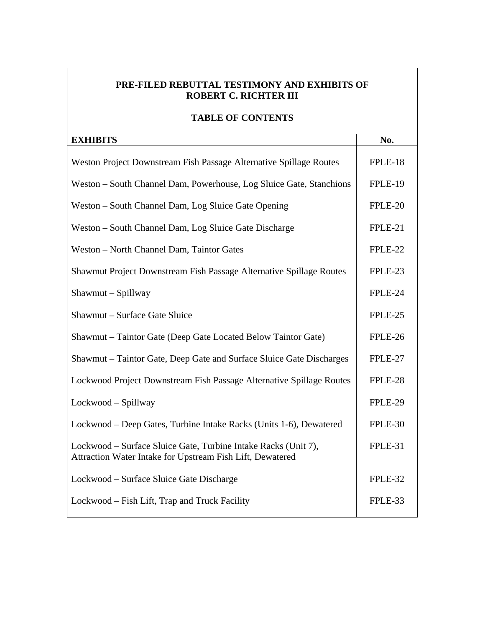### **PRE-FILED REBUTTAL TESTIMONY AND EXHIBITS OF ROBERT C. RICHTER III**

### **TABLE OF CONTENTS**

| <b>EXHIBITS</b>                                                                                                             | No.     |
|-----------------------------------------------------------------------------------------------------------------------------|---------|
| Weston Project Downstream Fish Passage Alternative Spillage Routes                                                          | FPLE-18 |
| Weston - South Channel Dam, Powerhouse, Log Sluice Gate, Stanchions                                                         | FPLE-19 |
| Weston – South Channel Dam, Log Sluice Gate Opening                                                                         | FPLE-20 |
| Weston - South Channel Dam, Log Sluice Gate Discharge                                                                       | FPLE-21 |
| Weston - North Channel Dam, Taintor Gates                                                                                   | FPLE-22 |
| Shawmut Project Downstream Fish Passage Alternative Spillage Routes                                                         | FPLE-23 |
| Shawmut - Spillway                                                                                                          | FPLE-24 |
| Shawmut - Surface Gate Sluice                                                                                               | FPLE-25 |
| Shawmut - Taintor Gate (Deep Gate Located Below Taintor Gate)                                                               | FPLE-26 |
| Shawmut – Taintor Gate, Deep Gate and Surface Sluice Gate Discharges                                                        | FPLE-27 |
| Lockwood Project Downstream Fish Passage Alternative Spillage Routes                                                        | FPLE-28 |
| Lockwood - Spillway                                                                                                         | FPLE-29 |
| Lockwood – Deep Gates, Turbine Intake Racks (Units 1-6), Dewatered                                                          | FPLE-30 |
| Lockwood – Surface Sluice Gate, Turbine Intake Racks (Unit 7),<br>Attraction Water Intake for Upstream Fish Lift, Dewatered | FPLE-31 |
| Lockwood – Surface Sluice Gate Discharge                                                                                    | FPLE-32 |
| Lockwood - Fish Lift, Trap and Truck Facility                                                                               | FPLE-33 |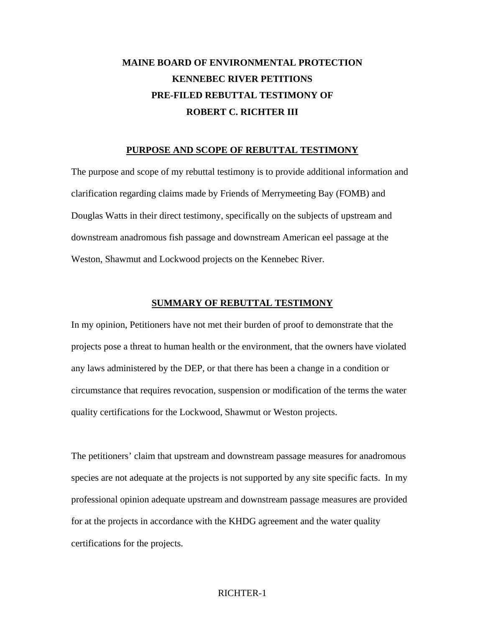# **MAINE BOARD OF ENVIRONMENTAL PROTECTION KENNEBEC RIVER PETITIONS PRE-FILED REBUTTAL TESTIMONY OF ROBERT C. RICHTER III**

#### **PURPOSE AND SCOPE OF REBUTTAL TESTIMONY**

The purpose and scope of my rebuttal testimony is to provide additional information and clarification regarding claims made by Friends of Merrymeeting Bay (FOMB) and Douglas Watts in their direct testimony, specifically on the subjects of upstream and downstream anadromous fish passage and downstream American eel passage at the Weston, Shawmut and Lockwood projects on the Kennebec River.

#### **SUMMARY OF REBUTTAL TESTIMONY**

In my opinion, Petitioners have not met their burden of proof to demonstrate that the projects pose a threat to human health or the environment, that the owners have violated any laws administered by the DEP, or that there has been a change in a condition or circumstance that requires revocation, suspension or modification of the terms the water quality certifications for the Lockwood, Shawmut or Weston projects.

The petitioners' claim that upstream and downstream passage measures for anadromous species are not adequate at the projects is not supported by any site specific facts. In my professional opinion adequate upstream and downstream passage measures are provided for at the projects in accordance with the KHDG agreement and the water quality certifications for the projects.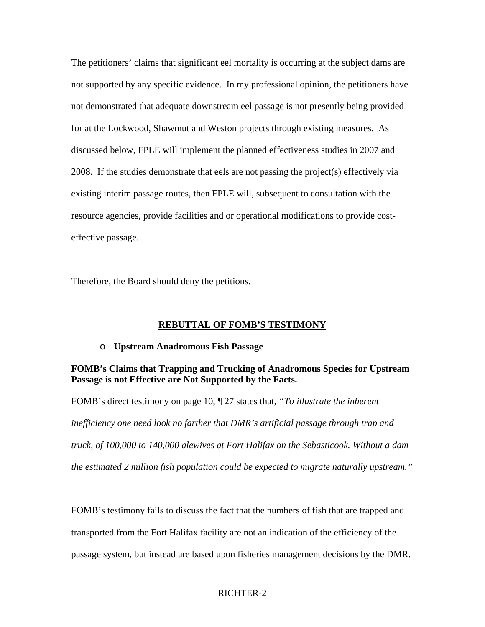The petitioners' claims that significant eel mortality is occurring at the subject dams are not supported by any specific evidence. In my professional opinion, the petitioners have not demonstrated that adequate downstream eel passage is not presently being provided for at the Lockwood, Shawmut and Weston projects through existing measures. As discussed below, FPLE will implement the planned effectiveness studies in 2007 and 2008. If the studies demonstrate that eels are not passing the project(s) effectively via existing interim passage routes, then FPLE will, subsequent to consultation with the resource agencies, provide facilities and or operational modifications to provide costeffective passage.

Therefore, the Board should deny the petitions.

#### **REBUTTAL OF FOMB'S TESTIMONY**

#### o **Upstream Anadromous Fish Passage**

### **FOMB's Claims that Trapping and Trucking of Anadromous Species for Upstream Passage is not Effective are Not Supported by the Facts.**

FOMB's direct testimony on page 10, ¶ 27 states that, *"To illustrate the inherent inefficiency one need look no farther that DMR's artificial passage through trap and truck, of 100,000 to 140,000 alewives at Fort Halifax on the Sebasticook. Without a dam the estimated 2 million fish population could be expected to migrate naturally upstream."*

FOMB's testimony fails to discuss the fact that the numbers of fish that are trapped and transported from the Fort Halifax facility are not an indication of the efficiency of the passage system, but instead are based upon fisheries management decisions by the DMR.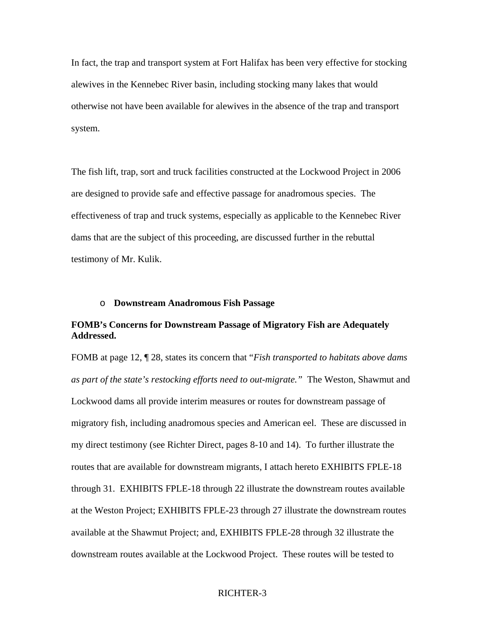In fact, the trap and transport system at Fort Halifax has been very effective for stocking alewives in the Kennebec River basin, including stocking many lakes that would otherwise not have been available for alewives in the absence of the trap and transport system.

The fish lift, trap, sort and truck facilities constructed at the Lockwood Project in 2006 are designed to provide safe and effective passage for anadromous species. The effectiveness of trap and truck systems, especially as applicable to the Kennebec River dams that are the subject of this proceeding, are discussed further in the rebuttal testimony of Mr. Kulik.

#### o **Downstream Anadromous Fish Passage**

### **FOMB's Concerns for Downstream Passage of Migratory Fish are Adequately Addressed.**

FOMB at page 12, ¶ 28, states its concern that "*Fish transported to habitats above dams as part of the state's restocking efforts need to out-migrate."* The Weston, Shawmut and Lockwood dams all provide interim measures or routes for downstream passage of migratory fish, including anadromous species and American eel. These are discussed in my direct testimony (see Richter Direct, pages 8-10 and 14). To further illustrate the routes that are available for downstream migrants, I attach hereto EXHIBITS FPLE-18 through 31. EXHIBITS FPLE-18 through 22 illustrate the downstream routes available at the Weston Project; EXHIBITS FPLE-23 through 27 illustrate the downstream routes available at the Shawmut Project; and, EXHIBITS FPLE-28 through 32 illustrate the downstream routes available at the Lockwood Project. These routes will be tested to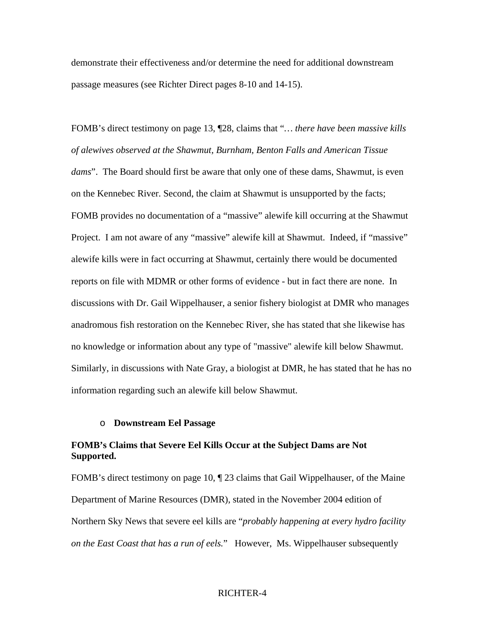demonstrate their effectiveness and/or determine the need for additional downstream passage measures (see Richter Direct pages 8-10 and 14-15).

FOMB's direct testimony on page 13, ¶28, claims that "*… there have been massive kills of alewives observed at the Shawmut, Burnham, Benton Falls and American Tissue dams*". The Board should first be aware that only one of these dams, Shawmut, is even on the Kennebec River. Second, the claim at Shawmut is unsupported by the facts; FOMB provides no documentation of a "massive" alewife kill occurring at the Shawmut Project. I am not aware of any "massive" alewife kill at Shawmut. Indeed, if "massive" alewife kills were in fact occurring at Shawmut, certainly there would be documented reports on file with MDMR or other forms of evidence - but in fact there are none. In discussions with Dr. Gail Wippelhauser, a senior fishery biologist at DMR who manages anadromous fish restoration on the Kennebec River, she has stated that she likewise has no knowledge or information about any type of "massive" alewife kill below Shawmut. Similarly, in discussions with Nate Gray, a biologist at DMR, he has stated that he has no information regarding such an alewife kill below Shawmut.

#### o **Downstream Eel Passage**

### **FOMB's Claims that Severe Eel Kills Occur at the Subject Dams are Not Supported.**

FOMB's direct testimony on page 10, ¶ 23 claims that Gail Wippelhauser, of the Maine Department of Marine Resources (DMR), stated in the November 2004 edition of Northern Sky News that severe eel kills are "*probably happening at every hydro facility on the East Coast that has a run of eels.*" However, Ms. Wippelhauser subsequently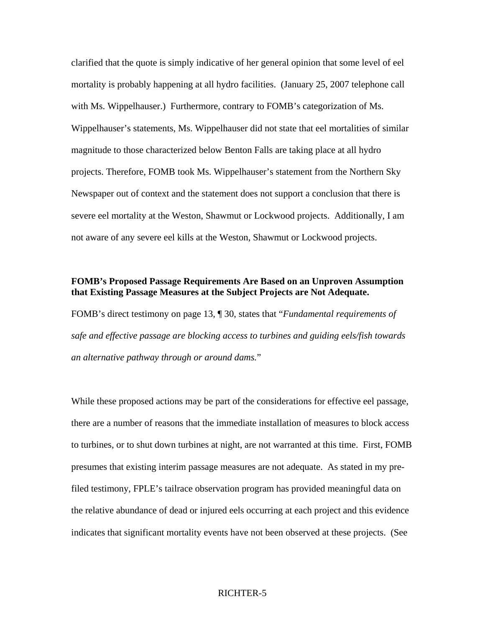clarified that the quote is simply indicative of her general opinion that some level of eel mortality is probably happening at all hydro facilities. (January 25, 2007 telephone call with Ms. Wippelhauser.) Furthermore, contrary to FOMB's categorization of Ms. Wippelhauser's statements, Ms. Wippelhauser did not state that eel mortalities of similar magnitude to those characterized below Benton Falls are taking place at all hydro projects. Therefore, FOMB took Ms. Wippelhauser's statement from the Northern Sky Newspaper out of context and the statement does not support a conclusion that there is severe eel mortality at the Weston, Shawmut or Lockwood projects. Additionally, I am not aware of any severe eel kills at the Weston, Shawmut or Lockwood projects.

### **FOMB's Proposed Passage Requirements Are Based on an Unproven Assumption that Existing Passage Measures at the Subject Projects are Not Adequate.**

FOMB's direct testimony on page 13, ¶ 30, states that "*Fundamental requirements of safe and effective passage are blocking access to turbines and guiding eels/fish towards an alternative pathway through or around dams.*"

While these proposed actions may be part of the considerations for effective eel passage, there are a number of reasons that the immediate installation of measures to block access to turbines, or to shut down turbines at night, are not warranted at this time. First, FOMB presumes that existing interim passage measures are not adequate. As stated in my prefiled testimony, FPLE's tailrace observation program has provided meaningful data on the relative abundance of dead or injured eels occurring at each project and this evidence indicates that significant mortality events have not been observed at these projects. (See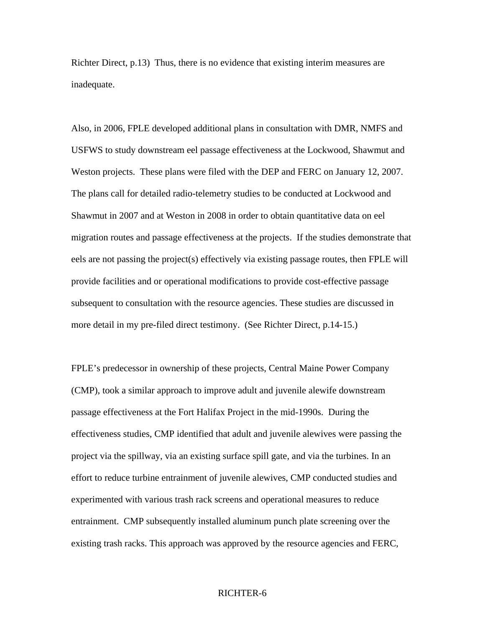Richter Direct, p.13) Thus, there is no evidence that existing interim measures are inadequate.

Also, in 2006, FPLE developed additional plans in consultation with DMR, NMFS and USFWS to study downstream eel passage effectiveness at the Lockwood, Shawmut and Weston projects. These plans were filed with the DEP and FERC on January 12, 2007. The plans call for detailed radio-telemetry studies to be conducted at Lockwood and Shawmut in 2007 and at Weston in 2008 in order to obtain quantitative data on eel migration routes and passage effectiveness at the projects. If the studies demonstrate that eels are not passing the project(s) effectively via existing passage routes, then FPLE will provide facilities and or operational modifications to provide cost-effective passage subsequent to consultation with the resource agencies. These studies are discussed in more detail in my pre-filed direct testimony. (See Richter Direct, p.14-15.)

FPLE's predecessor in ownership of these projects, Central Maine Power Company (CMP), took a similar approach to improve adult and juvenile alewife downstream passage effectiveness at the Fort Halifax Project in the mid-1990s. During the effectiveness studies, CMP identified that adult and juvenile alewives were passing the project via the spillway, via an existing surface spill gate, and via the turbines. In an effort to reduce turbine entrainment of juvenile alewives, CMP conducted studies and experimented with various trash rack screens and operational measures to reduce entrainment. CMP subsequently installed aluminum punch plate screening over the existing trash racks. This approach was approved by the resource agencies and FERC,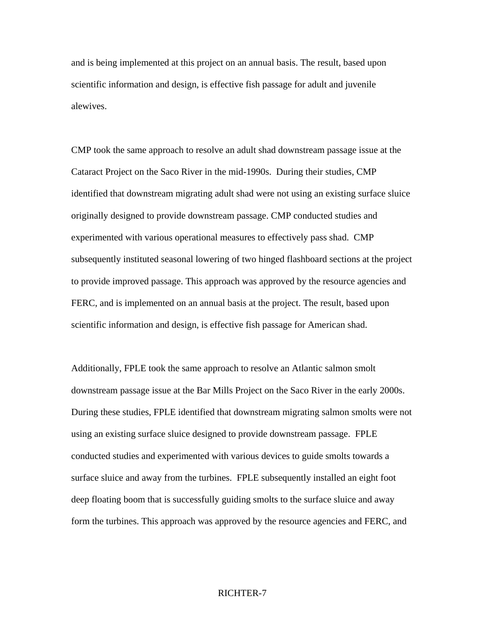and is being implemented at this project on an annual basis. The result, based upon scientific information and design, is effective fish passage for adult and juvenile alewives.

CMP took the same approach to resolve an adult shad downstream passage issue at the Cataract Project on the Saco River in the mid-1990s. During their studies, CMP identified that downstream migrating adult shad were not using an existing surface sluice originally designed to provide downstream passage. CMP conducted studies and experimented with various operational measures to effectively pass shad. CMP subsequently instituted seasonal lowering of two hinged flashboard sections at the project to provide improved passage. This approach was approved by the resource agencies and FERC, and is implemented on an annual basis at the project. The result, based upon scientific information and design, is effective fish passage for American shad.

Additionally, FPLE took the same approach to resolve an Atlantic salmon smolt downstream passage issue at the Bar Mills Project on the Saco River in the early 2000s. During these studies, FPLE identified that downstream migrating salmon smolts were not using an existing surface sluice designed to provide downstream passage. FPLE conducted studies and experimented with various devices to guide smolts towards a surface sluice and away from the turbines. FPLE subsequently installed an eight foot deep floating boom that is successfully guiding smolts to the surface sluice and away form the turbines. This approach was approved by the resource agencies and FERC, and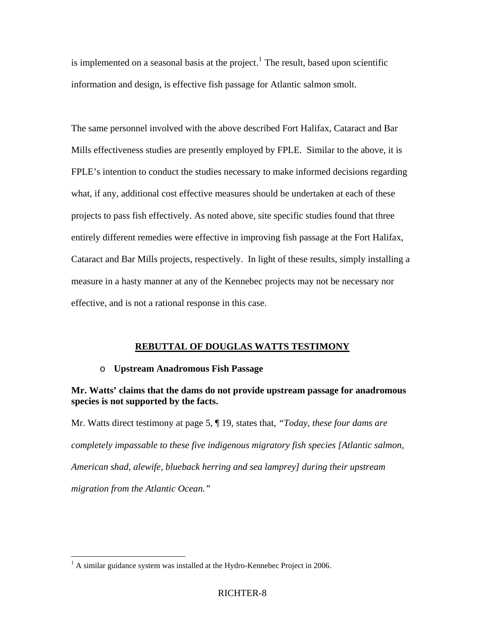is implemented on a seasonal basis at the project.<sup>[1](#page-11-0)</sup> The result, based upon scientific information and design, is effective fish passage for Atlantic salmon smolt.

The same personnel involved with the above described Fort Halifax, Cataract and Bar Mills effectiveness studies are presently employed by FPLE. Similar to the above, it is FPLE's intention to conduct the studies necessary to make informed decisions regarding what, if any, additional cost effective measures should be undertaken at each of these projects to pass fish effectively. As noted above, site specific studies found that three entirely different remedies were effective in improving fish passage at the Fort Halifax, Cataract and Bar Mills projects, respectively. In light of these results, simply installing a measure in a hasty manner at any of the Kennebec projects may not be necessary nor effective, and is not a rational response in this case.

### **REBUTTAL OF DOUGLAS WATTS TESTIMONY**

#### o **Upstream Anadromous Fish Passage**

### **Mr. Watts' claims that the dams do not provide upstream passage for anadromous species is not supported by the facts.**

Mr. Watts direct testimony at page 5, ¶ 19, states that, *"Today, these four dams are completely impassable to these five indigenous migratory fish species [Atlantic salmon, American shad, alewife, blueback herring and sea lamprey] during their upstream migration from the Atlantic Ocean."* 

 $\overline{a}$ 

<span id="page-11-0"></span> $<sup>1</sup>$  A similar guidance system was installed at the Hydro-Kennebec Project in 2006.</sup>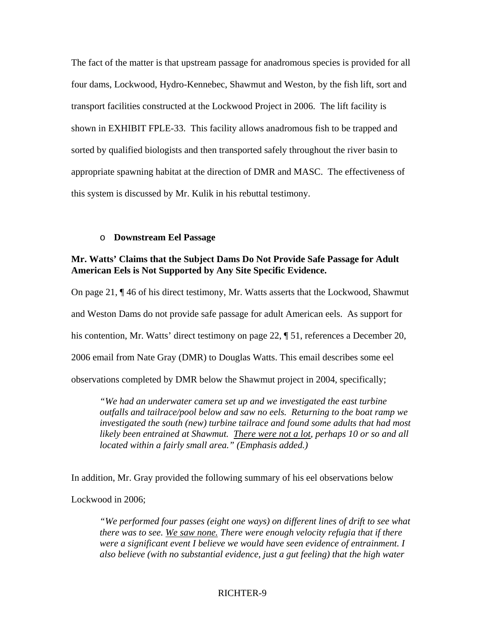The fact of the matter is that upstream passage for anadromous species is provided for all four dams, Lockwood, Hydro-Kennebec, Shawmut and Weston, by the fish lift, sort and transport facilities constructed at the Lockwood Project in 2006. The lift facility is shown in EXHIBIT FPLE-33. This facility allows anadromous fish to be trapped and sorted by qualified biologists and then transported safely throughout the river basin to appropriate spawning habitat at the direction of DMR and MASC. The effectiveness of this system is discussed by Mr. Kulik in his rebuttal testimony.

#### o **Downstream Eel Passage**

### **Mr. Watts' Claims that the Subject Dams Do Not Provide Safe Passage for Adult American Eels is Not Supported by Any Site Specific Evidence.**

On page 21, ¶ 46 of his direct testimony, Mr. Watts asserts that the Lockwood, Shawmut and Weston Dams do not provide safe passage for adult American eels. As support for his contention, Mr. Watts' direct testimony on page 22,  $\parallel$  51, references a December 20, 2006 email from Nate Gray (DMR) to Douglas Watts. This email describes some eel observations completed by DMR below the Shawmut project in 2004, specifically;

*"We had an underwater camera set up and we investigated the east turbine outfalls and tailrace/pool below and saw no eels. Returning to the boat ramp we investigated the south (new) turbine tailrace and found some adults that had most likely been entrained at Shawmut. There were not a lot, perhaps 10 or so and all located within a fairly small area." (Emphasis added.)* 

In addition, Mr. Gray provided the following summary of his eel observations below

Lockwood in 2006;

*"We performed four passes (eight one ways) on different lines of drift to see what there was to see. We saw none. There were enough velocity refugia that if there were a significant event I believe we would have seen evidence of entrainment. I also believe (with no substantial evidence, just a gut feeling) that the high water*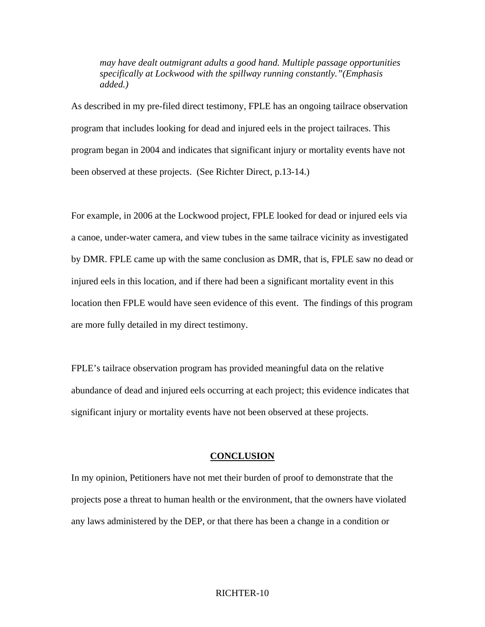*may have dealt outmigrant adults a good hand. Multiple passage opportunities specifically at Lockwood with the spillway running constantly."(Emphasis added.)* 

As described in my pre-filed direct testimony, FPLE has an ongoing tailrace observation program that includes looking for dead and injured eels in the project tailraces. This program began in 2004 and indicates that significant injury or mortality events have not been observed at these projects. (See Richter Direct, p.13-14.)

For example, in 2006 at the Lockwood project, FPLE looked for dead or injured eels via a canoe, under-water camera, and view tubes in the same tailrace vicinity as investigated by DMR. FPLE came up with the same conclusion as DMR, that is, FPLE saw no dead or injured eels in this location, and if there had been a significant mortality event in this location then FPLE would have seen evidence of this event. The findings of this program are more fully detailed in my direct testimony.

FPLE's tailrace observation program has provided meaningful data on the relative abundance of dead and injured eels occurring at each project; this evidence indicates that significant injury or mortality events have not been observed at these projects.

#### **CONCLUSION**

In my opinion, Petitioners have not met their burden of proof to demonstrate that the projects pose a threat to human health or the environment, that the owners have violated any laws administered by the DEP, or that there has been a change in a condition or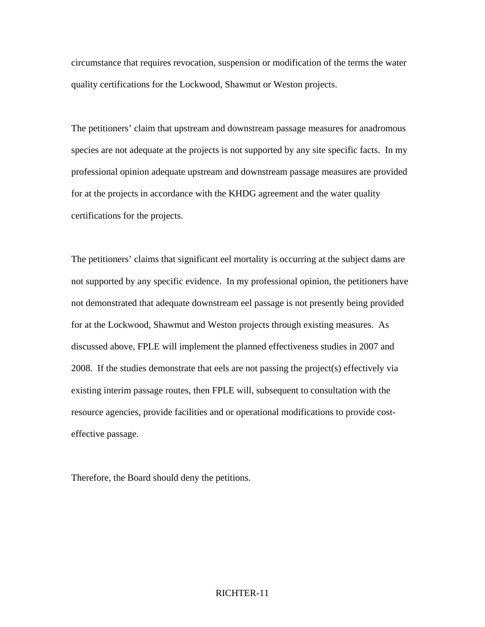circumstance that requires revocation, suspension or modification of the terms the water quality certifications for the Lockwood, Shawmut or Weston projects.

The petitioners' claim that upstream and downstream passage measures for anadromous species are not adequate at the projects is not supported by any site specific facts. In my professional opinion adequate upstream and downstream passage measures are provided for at the projects in accordance with the KHDG agreement and the water quality certifications for the projects.

The petitioners' claims that significant eel mortality is occurring at the subject dams are not supported by any specific evidence. In my professional opinion, the petitioners have not demonstrated that adequate downstream eel passage is not presently being provided for at the Lockwood, Shawmut and Weston projects through existing measures. As discussed above, FPLE will implement the planned effectiveness studies in 2007 and 2008. If the studies demonstrate that eels are not passing the project(s) effectively via existing interim passage routes, then FPLE will, subsequent to consultation with the resource agencies, provide facilities and or operational modifications to provide costeffective passage.

Therefore, the Board should deny the petitions.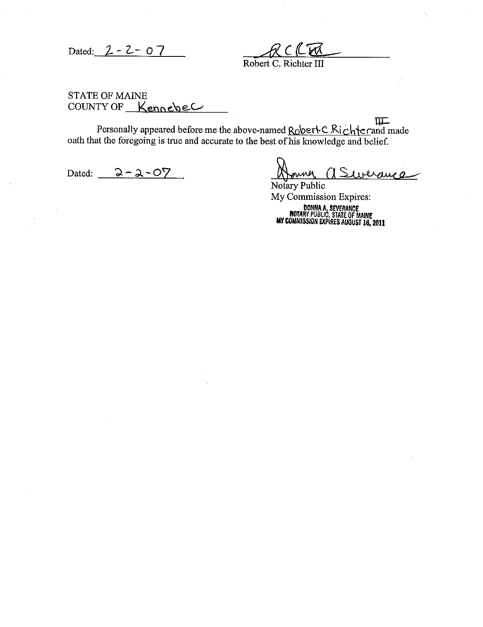Dated:  $2 - 2 - 07$ 

Robert C. Richter III

**STATE OF MAINE** COUNTY OF Kennebec

 $\Pi$ Personally appeared before me the above-named Robert C.Richterand made<br>oath that the foregoing is true and accurate to the best of his knowledge and belief.

Dated:  $2 - 2 - 07$ 

Notary Public My Commission Expires:

DONNA A. SEVERANCE<br>ROTARY PUBLIC, STATE OF MAINE<br>MY COMMISSION EXPIRES AUGUST 16, 2011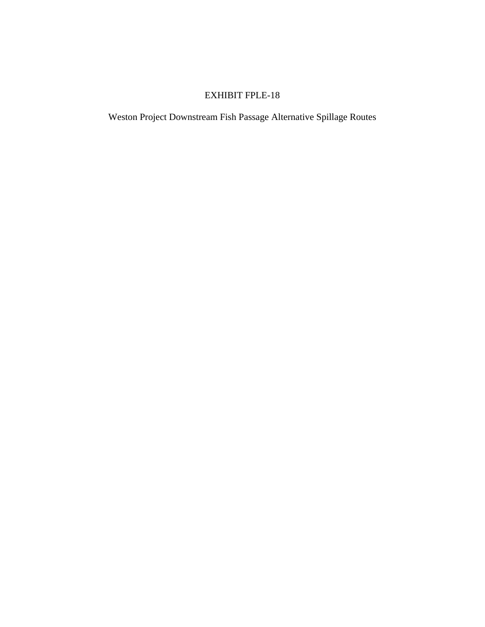Weston Project Downstream Fish Passage Alternative Spillage Routes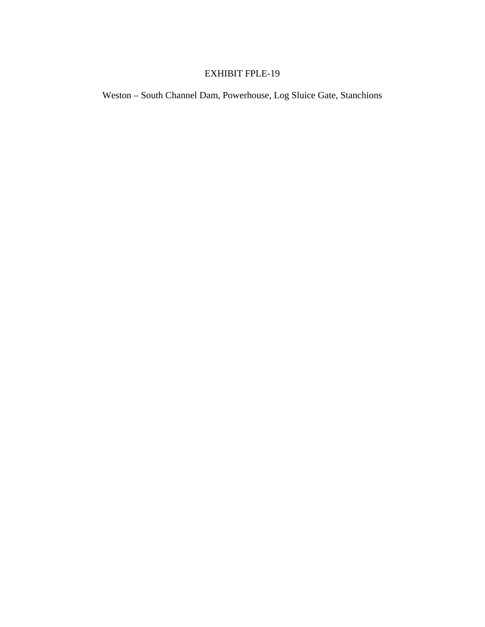Weston – South Channel Dam, Powerhouse, Log Sluice Gate, Stanchions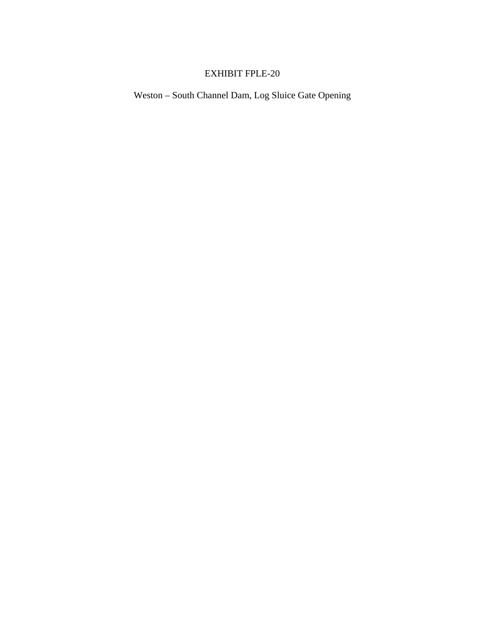Weston – South Channel Dam, Log Sluice Gate Opening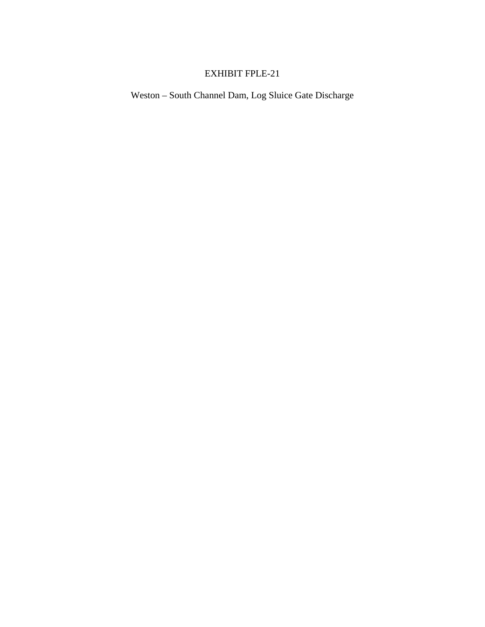Weston – South Channel Dam, Log Sluice Gate Discharge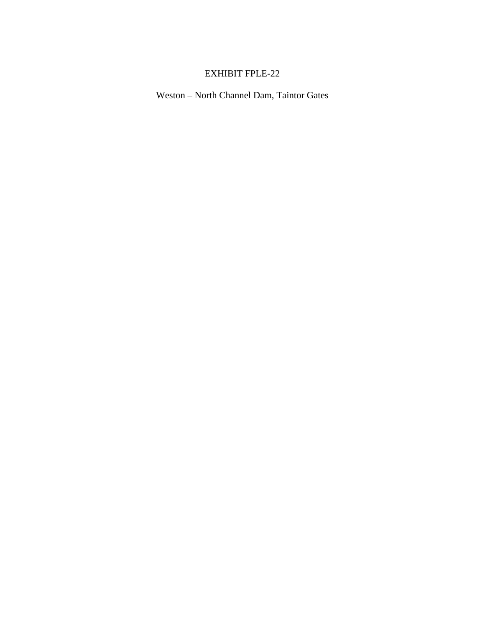Weston – North Channel Dam, Taintor Gates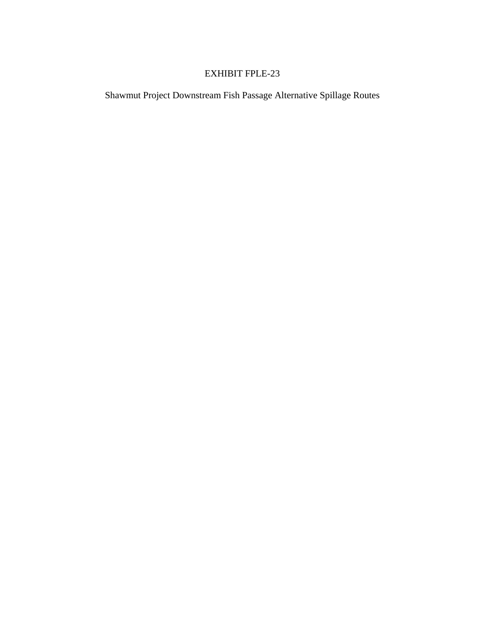Shawmut Project Downstream Fish Passage Alternative Spillage Routes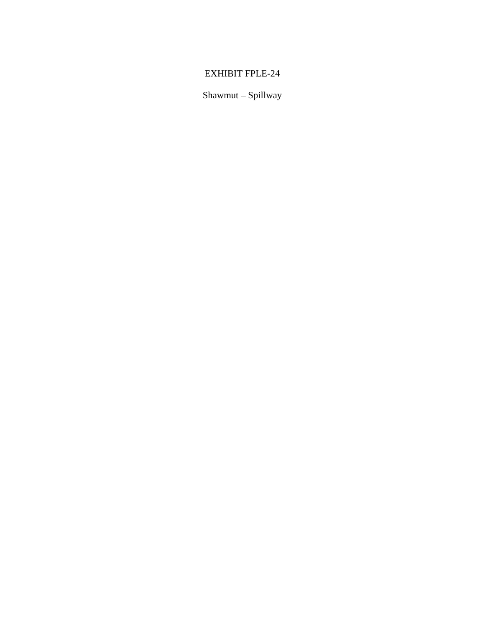Shawmut - Spillway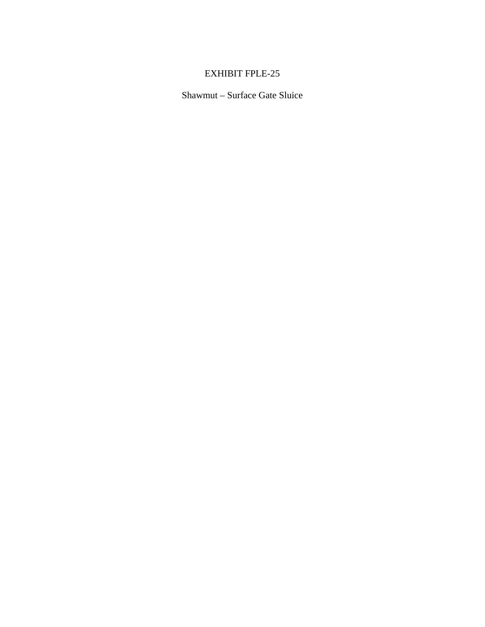Shawmut - Surface Gate Sluice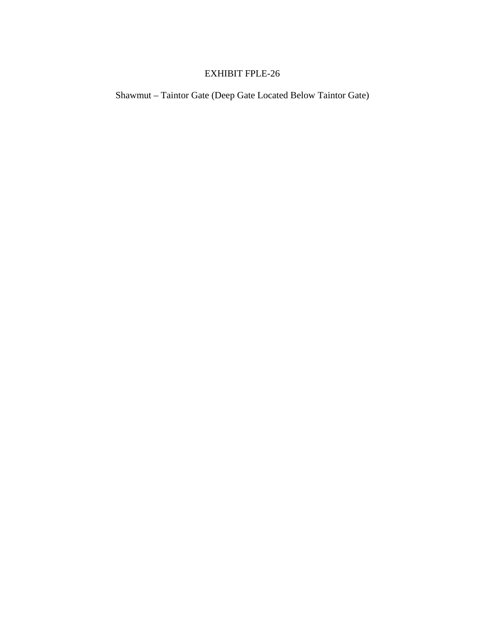Shawmut – Taintor Gate (Deep Gate Located Below Taintor Gate)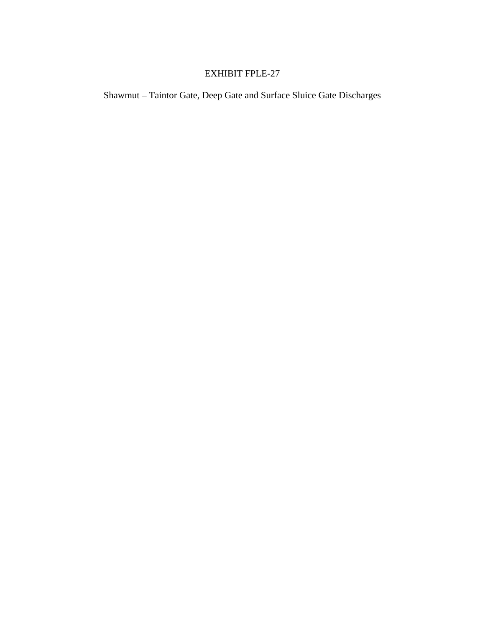Shawmut - Taintor Gate, Deep Gate and Surface Sluice Gate Discharges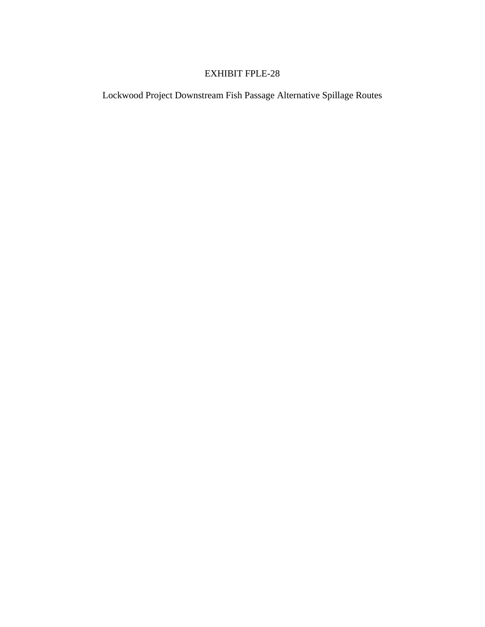Lockwood Project Downstream Fish Passage Alternative Spillage Routes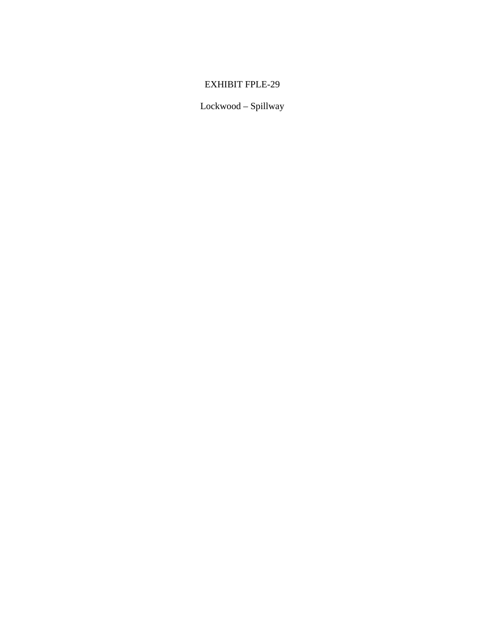Lockwood – Spillway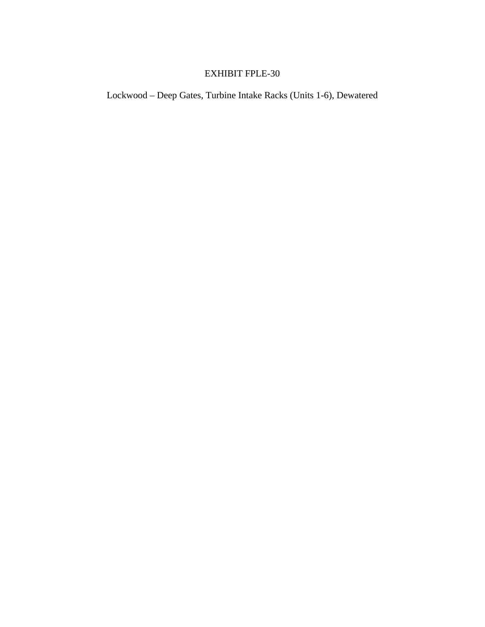Lockwood – Deep Gates, Turbine Intake Racks (Units 1-6), Dewatered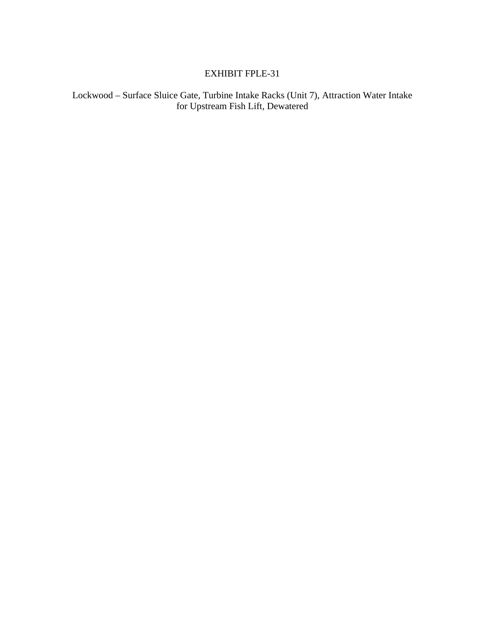Lockwood – Surface Sluice Gate, Turbine Intake Racks (Unit 7), Attraction Water Intake for Upstream Fish Lift, Dewatered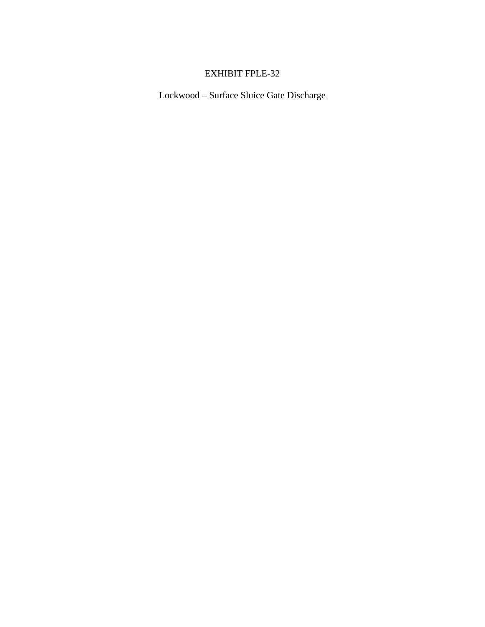Lockwood – Surface Sluice Gate Discharge